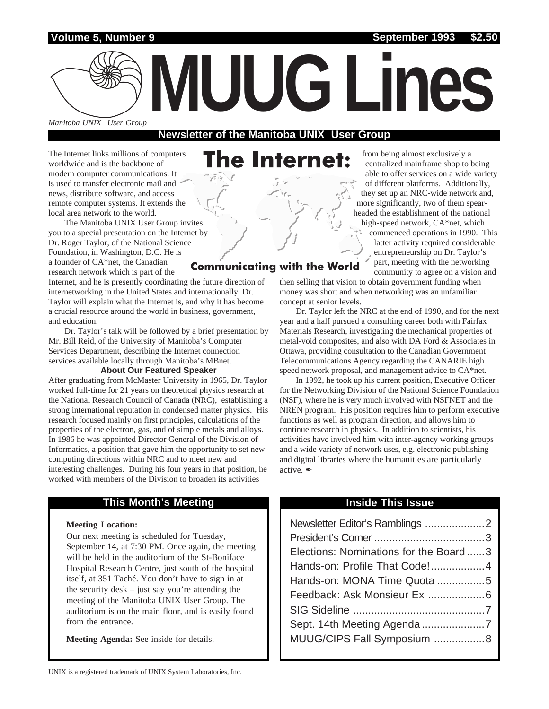**Volume 5, Number 9 September 1993 \$2.50**

*Manitoba UNIX User Group*

## **Newsletter of the Manitoba UNIX User Group**

The Internet links millions of computers worldwide and is the backbone of modern computer communications. It is used to transfer electronic mail and news, distribute software, and access remote computer systems. It extends the local area network to the world.

The Manitoba UNIX User Group invites you to a special presentation on the Internet by Dr. Roger Taylor, of the National Science Foundation, in Washington, D.C. He is a founder of CA\*net, the Canadian research network which is part of the

Internet, and he is presently coordinating the future direction of internetworking in the United States and internationally. Dr. Taylor will explain what the Internet is, and why it has become a crucial resource around the world in business, government, and education.

Dr. Taylor's talk will be followed by a brief presentation by Mr. Bill Reid, of the University of Manitoba's Computer Services Department, describing the Internet connection services available locally through Manitoba's MBnet.

#### **About Our Featured Speaker**

After graduating from McMaster University in 1965, Dr. Taylor worked full-time for 21 years on theoretical physics research at the National Research Council of Canada (NRC), establishing a strong international reputation in condensed matter physics. His research focused mainly on first principles, calculations of the properties of the electron, gas, and of simple metals and alloys. In 1986 he was appointed Director General of the Division of Informatics, a position that gave him the opportunity to set new computing directions within NRC and to meet new and interesting challenges. During his four years in that position, he worked with members of the Division to broaden its activities

### **This Month's Meeting Inside This Issue**

#### **Meeting Location:**

Our next meeting is scheduled for Tuesday, September 14, at 7:30 PM. Once again, the meeting will be held in the auditorium of the St-Boniface Hospital Research Centre, just south of the hospital itself, at 351 Taché. You don't have to sign in at the security desk – just say you're attending the meeting of the Manitoba UNIX User Group. The auditorium is on the main floor, and is easily found from the entrance.

**Meeting Agenda:** See inside for details.

# he Internet:

**MUUG Lines**

## **Communicating with the World**

from being almost exclusively a centralized mainframe shop to being able to offer services on a wide variety of different platforms. Additionally, they set up an NRC-wide network and, more significantly, two of them spearheaded the establishment of the national high-speed network, CA\*net, which commenced operations in 1990. This latter activity required considerable entrepreneurship on Dr. Taylor's part, meeting with the networking community to agree on a vision and

then selling that vision to obtain government funding when money was short and when networking was an unfamiliar concept at senior levels.

Dr. Taylor left the NRC at the end of 1990, and for the next year and a half pursued a consulting career both with Fairfax Materials Research, investigating the mechanical properties of metal-void composites, and also with DA Ford & Associates in Ottawa, providing consultation to the Canadian Government Telecommunications Agency regarding the CANARIE high speed network proposal, and management advice to CA\*net.

In 1992, he took up his current position, Executive Officer for the Networking Division of the National Science Foundation (NSF), where he is very much involved with NSFNET and the NREN program. His position requires him to perform executive functions as well as program direction, and allows him to continue research in physics. In addition to scientists, his activities have involved him with inter-agency working groups and a wide variety of network uses, e.g. electronic publishing and digital libraries where the humanities are particularly active. ✒

| Newsletter Editor's Ramblings 2       |  |
|---------------------------------------|--|
|                                       |  |
| Elections: Nominations for the Board3 |  |
| Hands-on: Profile That Code!4         |  |
| Hands-on: MONA Time Quota 5           |  |
|                                       |  |
|                                       |  |
|                                       |  |
| MUUG/CIPS Fall Symposium 8            |  |
|                                       |  |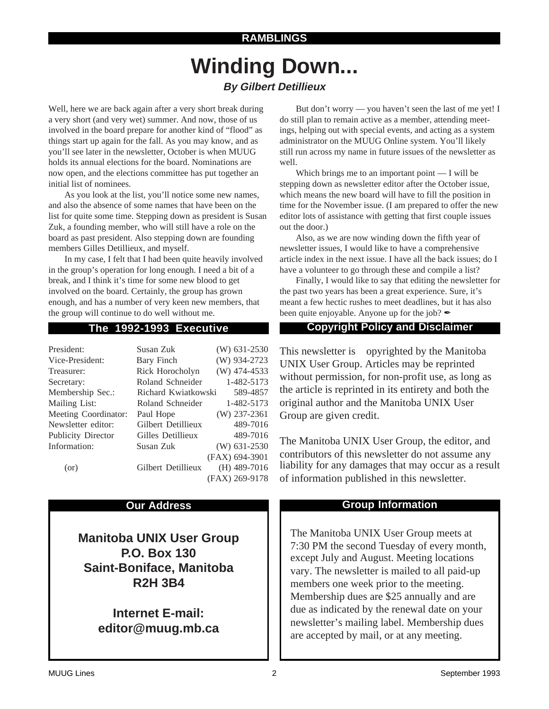# **Winding Down... By Gilbert Detillieux**

Well, here we are back again after a very short break during a very short (and very wet) summer. And now, those of us involved in the board prepare for another kind of "flood" as things start up again for the fall. As you may know, and as you'll see later in the newsletter, October is when MUUG holds its annual elections for the board. Nominations are now open, and the elections committee has put together an initial list of nominees.

As you look at the list, you'll notice some new names, and also the absence of some names that have been on the list for quite some time. Stepping down as president is Susan Zuk, a founding member, who will still have a role on the board as past president. Also stepping down are founding members Gilles Detillieux, and myself.

In my case, I felt that I had been quite heavily involved in the group's operation for long enough. I need a bit of a break, and I think it's time for some new blood to get involved on the board. Certainly, the group has grown enough, and has a number of very keen new members, that the group will continue to do well without me.

| President:                | Susan Zuk           | $(W)$ 631-2530 |
|---------------------------|---------------------|----------------|
| Vice-President:           | Bary Finch          | (W) 934-2723   |
| Treasurer:                | Rick Horocholyn     | $(W)$ 474-4533 |
| Secretary:                | Roland Schneider    | 1-482-5173     |
| Membership Sec.:          | Richard Kwiatkowski | 589-4857       |
| Mailing List:             | Roland Schneider    | 1-482-5173     |
| Meeting Coordinator:      | Paul Hope           | $(W)$ 237-2361 |
| Newsletter editor:        | Gilbert Detillieux  | 489-7016       |
| <b>Publicity Director</b> | Gilles Detillieux   | 489-7016       |
| Information:              | Susan Zuk           | (W) 631-2530   |
|                           |                     | (FAX) 694-3901 |
| (or)                      | Gilbert Detillieux  | $(H)$ 489-7016 |
|                           |                     | (FAX) 269-9178 |

**Manitoba UNIX User Group P.O. Box 130 Saint-Boniface, Manitoba R2H 3B4**

> **Internet E-mail: editor@muug.mb.ca**

But don't worry — you haven't seen the last of me yet! I do still plan to remain active as a member, attending meetings, helping out with special events, and acting as a system administrator on the MUUG Online system. You'll likely still run across my name in future issues of the newsletter as well.

Which brings me to an important point — I will be stepping down as newsletter editor after the October issue, which means the new board will have to fill the position in time for the November issue. (I am prepared to offer the new editor lots of assistance with getting that first couple issues out the door.)

Also, as we are now winding down the fifth year of newsletter issues, I would like to have a comprehensive article index in the next issue. I have all the back issues; do I have a volunteer to go through these and compile a list?

Finally, I would like to say that editing the newsletter for the past two years has been a great experience. Sure, it's meant a few hectic rushes to meet deadlines, but it has also been quite enjoyable. Anyone up for the job?  $\mathscr I$ 

## **The 1992-1993 Executive Copyright Policy and Disclaimer**

This newsletter is Copyrighted by the Manitoba UNIX User Group. Articles may be reprinted without permission, for non-profit use, as long as the article is reprinted in its entirety and both the original author and the Manitoba UNIX User Group are given credit.

The Manitoba UNIX User Group, the editor, and contributors of this newsletter do not assume any liability for any damages that may occur as a result of information published in this newsletter.

### **Our Address Community Community Community Community Community Community Community Community Community Community Community Community Community Community Community Community Community Community Community Community Community**

The Manitoba UNIX User Group meets at 7:30 PM the second Tuesday of every month, except July and August. Meeting locations vary. The newsletter is mailed to all paid-up members one week prior to the meeting. Membership dues are \$25 annually and are due as indicated by the renewal date on your newsletter's mailing label. Membership dues are accepted by mail, or at any meeting.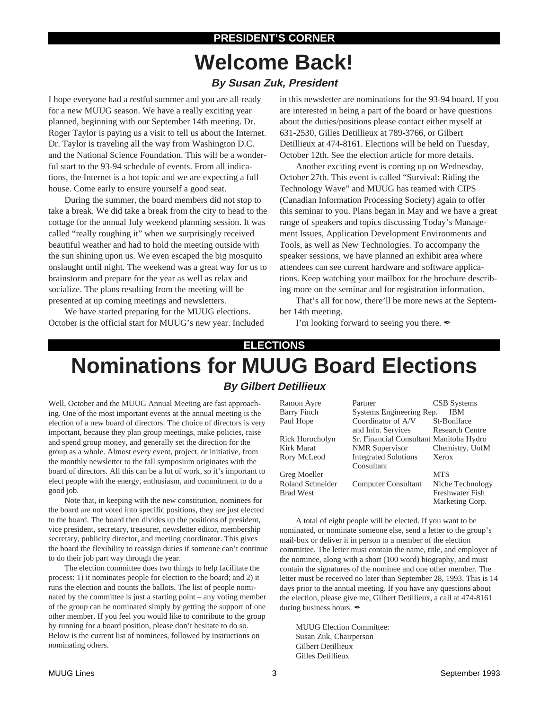# **PRESIDENT'S CORNER Welcome Back! By Susan Zuk, President**

I hope everyone had a restful summer and you are all ready for a new MUUG season. We have a really exciting year planned, beginning with our September 14th meeting. Dr. Roger Taylor is paying us a visit to tell us about the Internet. Dr. Taylor is traveling all the way from Washington D.C. and the National Science Foundation. This will be a wonderful start to the 93-94 schedule of events. From all indications, the Internet is a hot topic and we are expecting a full house. Come early to ensure yourself a good seat.

During the summer, the board members did not stop to take a break. We did take a break from the city to head to the cottage for the annual July weekend planning session. It was called "really roughing it" when we surprisingly received beautiful weather and had to hold the meeting outside with the sun shining upon us. We even escaped the big mosquito onslaught until night. The weekend was a great way for us to brainstorm and prepare for the year as well as relax and socialize. The plans resulting from the meeting will be presented at up coming meetings and newsletters.

We have started preparing for the MUUG elections. October is the official start for MUUG's new year. Included in this newsletter are nominations for the 93-94 board. If you are interested in being a part of the board or have questions about the duties/positions please contact either myself at 631-2530, Gilles Detillieux at 789-3766, or Gilbert Detillieux at 474-8161. Elections will be held on Tuesday, October 12th. See the election article for more details.

Another exciting event is coming up on Wednesday, October 27th. This event is called "Survival: Riding the Technology Wave" and MUUG has teamed with CIPS (Canadian Information Processing Society) again to offer this seminar to you. Plans began in May and we have a great range of speakers and topics discussing Today's Management Issues, Application Development Environments and Tools, as well as New Technologies. To accompany the speaker sessions, we have planned an exhibit area where attendees can see current hardware and software applications. Keep watching your mailbox for the brochure describing more on the seminar and for registration information.

That's all for now, there'll be more news at the September 14th meeting.

I'm looking forward to seeing you there.  $\blacktriangleright$ 

### **ELECTIONS**

# **Nominations for MUUG Board Elections By Gilbert Detillieux**

Well, October and the MUUG Annual Meeting are fast approaching. One of the most important events at the annual meeting is the election of a new board of directors. The choice of directors is very important, because they plan group meetings, make policies, raise and spend group money, and generally set the direction for the group as a whole. Almost every event, project, or initiative, from the monthly newsletter to the fall symposium originates with the board of directors. All this can be a lot of work, so it's important to elect people with the energy, enthusiasm, and commitment to do a good job.

Note that, in keeping with the new constitution, nominees for the board are not voted into specific positions, they are just elected to the board. The board then divides up the positions of president, vice president, secretary, treasurer, newsletter editor, membership secretary, publicity director, and meeting coordinator. This gives the board the flexibility to reassign duties if someone can't continue to do their job part way through the year.

The election committee does two things to help facilitate the process: 1) it nominates people for election to the board; and 2) it runs the election and counts the ballots. The list of people nominated by the committee is just a starting point – any voting member of the group can be nominated simply by getting the support of one other member. If you feel you would like to contribute to the group by running for a board position, please don't hesitate to do so. Below is the current list of nominees, followed by instructions on nominating others.

| Ramon Ayre       | Partner                                 | <b>CSB</b> Systems     |
|------------------|-----------------------------------------|------------------------|
| Barry Finch      | Systems Engineering Rep.                | IBM                    |
| Paul Hope        | Coordinator of A/V                      | St-Boniface            |
|                  | and Info. Services                      | <b>Research Centre</b> |
| Rick Horocholyn  | Sr. Financial Consultant Manitoba Hydro |                        |
| Kirk Marat       | <b>NMR</b> Supervisor                   | Chemistry, UofM        |
| Rory McLeod      | <b>Integrated Solutions</b>             | Xerox                  |
|                  | Consultant                              |                        |
| Greg Moeller     |                                         | <b>MTS</b>             |
| Roland Schneider | Computer Consultant                     | Niche Technology       |
| Brad West        |                                         | <b>Freshwater Fish</b> |
|                  |                                         | Marketing Corp.        |

A total of eight people will be elected. If you want to be nominated, or nominate someone else, send a letter to the group's mail-box or deliver it in person to a member of the election committee. The letter must contain the name, title, and employer of the nominee, along with a short (100 word) biography, and must contain the signatures of the nominee and one other member. The letter must be received no later than September 28, 1993. This is 14 days prior to the annual meeting. If you have any questions about the election, please give me, Gilbert Detillieux, a call at 474-8161 during business hours.  $\mathscr{I}$ 

MUUG Election Committee: Susan Zuk, Chairperson Gilbert Detillieux Gilles Detillieux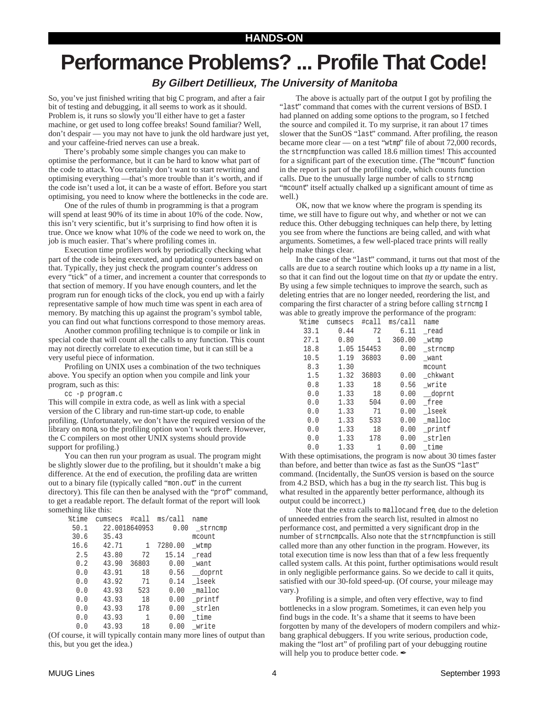# **Performance Problems? ... Profile That Code!**

### **By Gilbert Detillieux, The University of Manitoba**

So, you've just finished writing that big C program, and after a fair bit of testing and debugging, it all seems to work as it should. Problem is, it runs so slowly you'll either have to get a faster machine, or get used to long coffee breaks! Sound familiar? Well, don't despair — you may not have to junk the old hardware just yet, and your caffeine-fried nerves can use a break.

There's probably some simple changes you can make to optimise the performance, but it can be hard to know what part of the code to attack. You certainly don't want to start rewriting and optimising everything —that's more trouble than it's worth, and if the code isn't used a lot, it can be a waste of effort. Before you start optimising, you need to know where the bottlenecks in the code are.

One of the rules of thumb in programming is that a program will spend at least 90% of its time in about 10% of the code. Now, this isn't very scientific, but it's surprising to find how often it is true. Once we know what 10% of the code we need to work on, the job is much easier. That's where profiling comes in.

Execution time profilers work by periodically checking what part of the code is being executed, and updating counters based on that. Typically, they just check the program counter's address on every "tick" of a timer, and increment a counter that corresponds to that section of memory. If you have enough counters, and let the program run for enough ticks of the clock, you end up with a fairly representative sample of how much time was spent in each area of memory. By matching this up against the program's symbol table, you can find out what functions correspond to those memory areas.

Another common profiling technique is to compile or link in special code that will count all the calls to any function. This count may not directly correlate to execution time, but it can still be a very useful piece of information.

Profiling on UNIX uses a combination of the two techniques above. You specify an option when you compile and link your program, such as this:

cc -p program.c

This will compile in extra code, as well as link with a special version of the C library and run-time start-up code, to enable profiling. (Unfortunately, we don't have the required version of the library on mona, so the profiling option won't work there. However, the C compilers on most other UNIX systems should provide support for profiling.)

You can then run your program as usual. The program might be slightly slower due to the profiling, but it shouldn't make a big difference. At the end of execution, the profiling data are written out to a binary file (typically called "mon.out" in the current directory). This file can then be analysed with the "prof" command, to get a readable report. The default format of the report will look something like this:

| %time | cumsecs | #call         | ms/call | name     |
|-------|---------|---------------|---------|----------|
| 50.1  |         | 22.0018640953 | 0.00    | strncmp  |
| 30.6  | 35.43   |               |         | mcount   |
| 16.6  | 42.71   | 1             | 7280.00 | _wtmp    |
| 2.5   | 43.80   | 72            | 15.14   | read     |
| 0.2   | 43.90   | 36803         | 0.00    | want     |
| 0.0   | 43.91   | 18            | 0.56    | __doprnt |
| 0.0   | 43.92   | 71            | 0.14    | lseek    |
| 0.0   | 43.93   | 523           | 0.00    | malloc   |
| 0.0   | 43.93   | 18            | 0.00    | printf   |
| 0.0   | 43.93   | 178           | 0.00    | strlen   |
| 0.0   | 43.93   | 1             | 0.00    | time     |
| 0.0   | 43.93   | 18            | 0.00    | write    |

(Of course, it will typically contain many more lines of output than this, but you get the idea.)

The above is actually part of the output I got by profiling the "last" command that comes with the current versions of BSD. I had planned on adding some options to the program, so I fetched the source and compiled it. To my surprise, it ran about 17 times slower that the SunOS "last" command. After profiling, the reason became more clear — on a test "wtmp" file of about 72,000 records, the strncmpfunction was called 18.6 million times! This accounted for a significant part of the execution time. (The "mcount" function in the report is part of the profiling code, which counts function calls. Due to the unusually large number of calls to strncmp, "mcount" itself actually chalked up a significant amount of time as well.)

OK, now that we know where the program is spending its time, we still have to figure out why, and whether or not we can reduce this. Other debugging techniques can help there, by letting you see from where the functions are being called, and with what arguments. Sometimes, a few well-placed trace prints will really help make things clear.

In the case of the "last" command, it turns out that most of the calls are due to a search routine which looks up a *tty* name in a list, so that it can find out the logout time on that *tty* or update the entry. By using a few simple techniques to improve the search, such as deleting entries that are no longer needed, reordering the list, and comparing the first character of a string before calling strncmp, I was able to greatly improve the performance of the program:

| %time | cumsecs | #call       | ms/call | name    |
|-------|---------|-------------|---------|---------|
| 33.1  | 0.44    | 72          | 6.11    | read    |
| 27.1  | 0.80    | 1           | 360.00  | wtmp    |
| 18.8  |         | 1.05 154453 | 0.00    | strncmp |
| 10.5  | 1.19    | 36803       | 0.00    | want    |
| 8.3   | 1.30    |             |         | mcount  |
| 1.5   | 1.32    | 36803       | 0.00    | chkwant |
| 0.8   | 1.33    | 18          | 0.56    | write   |
| 0.0   | 1.33    | 18          | 0.00    | _doprnt |
| 0.0   | 1.33    | 504         | 0.00    | free    |
| 0.0   | 1.33    | 71          | 0.00    | lseek   |
| 0.0   | 1.33    | 533         | 0.00    | malloc  |
| 0.0   | 1.33    | 18          | 0.00    | printf  |
| 0.0   | 1.33    | 178         | 0.00    | strlen  |
| 0.0   | 1.33    | 1           | 0.00    | time    |

With these optimisations, the program is now about 30 times faster than before, and better than twice as fast as the SunOS "last" command. (Incidentally, the SunOS version is based on the source from 4.2 BSD, which has a bug in the *tty* search list. This bug is what resulted in the apparently better performance, although its output could be incorrect.)

Note that the extra calls to malloc and free, due to the deletion of unneeded entries from the search list, resulted in almost no performance cost, and permitted a very significant drop in the number of strncmpcalls. Also note that the strncmpfunction is still called more than any other function in the program. However, its total execution time is now less than that of a few less frequently called system calls. At this point, further optimisations would result in only negligible performance gains. So we decide to call it quits, satisfied with our 30-fold speed-up. (Of course, your mileage may vary.)

Profiling is a simple, and often very effective, way to find bottlenecks in a slow program. Sometimes, it can even help you find bugs in the code. It's a shame that it seems to have been forgotten by many of the developers of modern compilers and whizbang graphical debuggers. If you write serious, production code, making the "lost art" of profiling part of your debugging routine will help you to produce better code.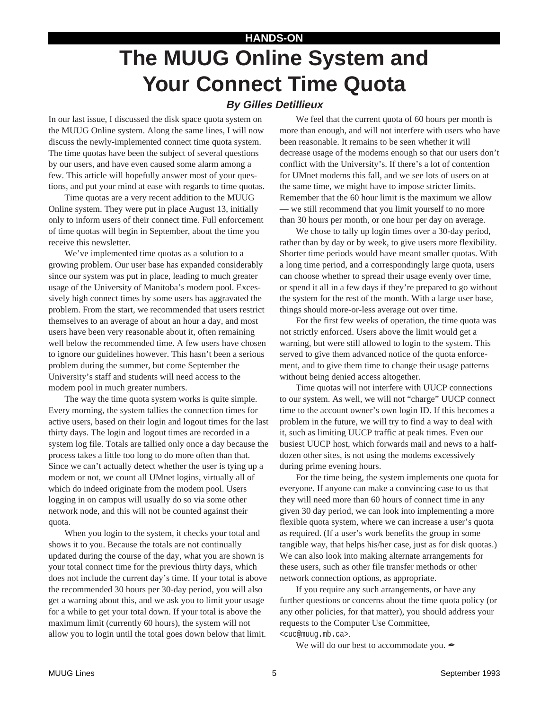# **HANDS-ON The MUUG Online System and Your Connect Time Quota**

### **By Gilles Detillieux**

In our last issue, I discussed the disk space quota system on the MUUG Online system. Along the same lines, I will now discuss the newly-implemented connect time quota system. The time quotas have been the subject of several questions by our users, and have even caused some alarm among a few. This article will hopefully answer most of your questions, and put your mind at ease with regards to time quotas.

Time quotas are a very recent addition to the MUUG Online system. They were put in place August 13, initially only to inform users of their connect time. Full enforcement of time quotas will begin in September, about the time you receive this newsletter.

We've implemented time quotas as a solution to a growing problem. Our user base has expanded considerably since our system was put in place, leading to much greater usage of the University of Manitoba's modem pool. Excessively high connect times by some users has aggravated the problem. From the start, we recommended that users restrict themselves to an average of about an hour a day, and most users have been very reasonable about it, often remaining well below the recommended time. A few users have chosen to ignore our guidelines however. This hasn't been a serious problem during the summer, but come September the University's staff and students will need access to the modem pool in much greater numbers.

The way the time quota system works is quite simple. Every morning, the system tallies the connection times for active users, based on their login and logout times for the last thirty days. The login and logout times are recorded in a system log file. Totals are tallied only once a day because the process takes a little too long to do more often than that. Since we can't actually detect whether the user is tying up a modem or not, we count all UMnet logins, virtually all of which do indeed originate from the modem pool. Users logging in on campus will usually do so via some other network node, and this will not be counted against their quota.

When you login to the system, it checks your total and shows it to you. Because the totals are not continually updated during the course of the day, what you are shown is your total connect time for the previous thirty days, which does not include the current day's time. If your total is above the recommended 30 hours per 30-day period, you will also get a warning about this, and we ask you to limit your usage for a while to get your total down. If your total is above the maximum limit (currently 60 hours), the system will not allow you to login until the total goes down below that limit.

We feel that the current quota of 60 hours per month is more than enough, and will not interfere with users who have been reasonable. It remains to be seen whether it will decrease usage of the modems enough so that our users don't conflict with the University's. If there's a lot of contention for UMnet modems this fall, and we see lots of users on at the same time, we might have to impose stricter limits. Remember that the 60 hour limit is the maximum we allow — we still recommend that you limit yourself to no more than 30 hours per month, or one hour per day on average.

We chose to tally up login times over a 30-day period, rather than by day or by week, to give users more flexibility. Shorter time periods would have meant smaller quotas. With a long time period, and a correspondingly large quota, users can choose whether to spread their usage evenly over time, or spend it all in a few days if they're prepared to go without the system for the rest of the month. With a large user base, things should more-or-less average out over time.

For the first few weeks of operation, the time quota was not strictly enforced. Users above the limit would get a warning, but were still allowed to login to the system. This served to give them advanced notice of the quota enforcement, and to give them time to change their usage patterns without being denied access altogether.

Time quotas will not interfere with UUCP connections to our system. As well, we will not "charge" UUCP connect time to the account owner's own login ID. If this becomes a problem in the future, we will try to find a way to deal with it, such as limiting UUCP traffic at peak times. Even our busiest UUCP host, which forwards mail and news to a halfdozen other sites, is not using the modems excessively during prime evening hours.

For the time being, the system implements one quota for everyone. If anyone can make a convincing case to us that they will need more than 60 hours of connect time in any given 30 day period, we can look into implementing a more flexible quota system, where we can increase a user's quota as required. (If a user's work benefits the group in some tangible way, that helps his/her case, just as for disk quotas.) We can also look into making alternate arrangements for these users, such as other file transfer methods or other network connection options, as appropriate.

If you require any such arrangements, or have any further questions or concerns about the time quota policy (or any other policies, for that matter), you should address your requests to the Computer Use Committee,

<cuc@muug.mb.ca>.

We will do our best to accommodate you.  $\mathcal I$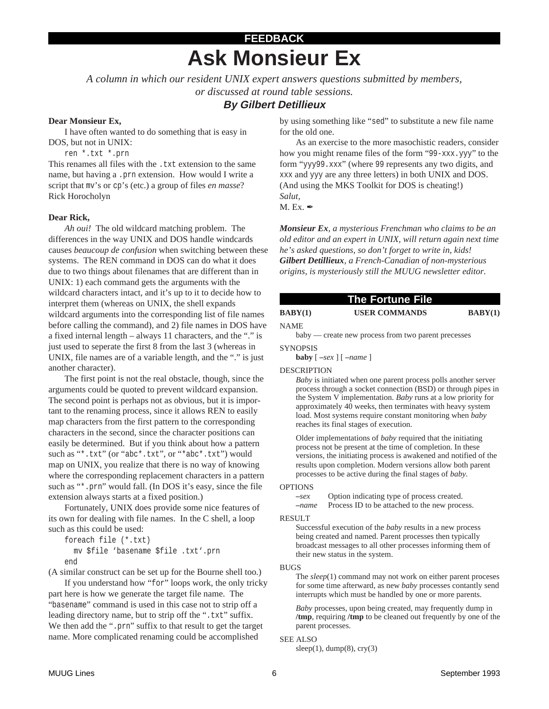# **FEEDBACK Ask Monsieur Ex**

*A column in which our resident UNIX expert answers questions submitted by members,*

*or discussed at round table sessions.*

### **By Gilbert Detillieux**

#### **Dear Monsieur Ex,**

I have often wanted to do something that is easy in DOS, but not in UNIX:

ren \*.txt \*.prn

This renames all files with the .txt extension to the same name, but having a .prn extension. How would I write a script that mv's or cp's (etc.) a group of files *en masse*? Rick Horocholyn

#### **Dear Rick,**

*Ah oui!* The old wildcard matching problem. The differences in the way UNIX and DOS handle windcards causes *beaucoup de confusion* when switching between these systems. The REN command in DOS can do what it does due to two things about filenames that are different than in UNIX: 1) each command gets the arguments with the wildcard characters intact, and it's up to it to decide how to interpret them (whereas on UNIX, the shell expands wildcard arguments into the corresponding list of file names before calling the command), and 2) file names in DOS have a fixed internal length – always 11 characters, and the "." is just used to seperate the first 8 from the last 3 (whereas in UNIX, file names are of a variable length, and the "." is just another character).

The first point is not the real obstacle, though, since the arguments could be quoted to prevent wildcard expansion. The second point is perhaps not as obvious, but it is important to the renaming process, since it allows REN to easily map characters from the first pattern to the corresponding characters in the second, since the character positions can easily be determined. But if you think about how a pattern such as "\*.txt" (or "abc\*.txt", or "\*abc\*.txt") would map on UNIX, you realize that there is no way of knowing where the corresponding replacement characters in a pattern such as "\*.prn" would fall. (In DOS it's easy, since the file extension always starts at a fixed position.)

Fortunately, UNIX does provide some nice features of its own for dealing with file names. In the C shell, a loop such as this could be used:

foreach file (\*.txt) mv \$file 'basename \$file .txt'.prn end

(A similar construct can be set up for the Bourne shell too.)

If you understand how "for" loops work, the only tricky part here is how we generate the target file name. The "basename" command is used in this case not to strip off a leading directory name, but to strip off the ".txt" suffix. We then add the ".prn" suffix to that result to get the target name. More complicated renaming could be accomplished

by using something like "sed" to substitute a new file name for the old one.

As an exercise to the more masochistic readers, consider how you might rename files of the form "99-xxx.yyy" to the form "yyy99.xxx" (where 99 represents any two digits, and xxx and yyy are any three letters) in both UNIX and DOS. (And using the MKS Toolkit for DOS is cheating!) *Salut*,

 $M.Ex.$ 

*Monsieur Ex, a mysterious Frenchman who claims to be an old editor and an expert in UNIX, will return again next time he's asked questions, so don't forget to write in, kids! Gilbert Detillieux, a French-Canadian of non-mysterious origins, is mysteriously still the MUUG newsletter editor.*

| The Fortune File |                                                     |         |
|------------------|-----------------------------------------------------|---------|
| BABY(1)          | <b>USER COMMANDS</b>                                | BABY(1) |
| NAME.            |                                                     |         |
|                  | haby — create new process from two parent precesses |         |

baby — create new process from two parent precesses

#### **SYNOPSIS**

**baby** [ **–***sex* ] [ **–***name* ]

#### DESCRIPTION

*Baby* is initiated when one parent process polls another server process through a socket connection (BSD) or through pipes in the System V implementation. *Baby* runs at a low priority for approximately 40 weeks, then terminates with heavy system load. Most systems require constant monitoring when *baby* reaches its final stages of execution.

Older implementations of *baby* required that the initiating process not be present at the time of completion. In these versions, the initiating process is awakened and notified of the results upon completion. Modern versions allow both parent processes to be active during the final stages of *baby*.

#### OPTIONS

**–***sex* Option indicating type of process created. **–***name* Process ID to be attached to the new process.

#### **RESULT**

Successful execution of the *baby* results in a new process being created and named. Parent processes then typically broadcast messages to all other processes informing them of their new status in the system.

#### BUGS

The *sleep*(1) command may not work on either parent proceses for some time afterward, as new *baby* processes contantly send interrupts which must be handled by one or more parents.

*Baby* processes, upon being created, may frequently dump in **/tmp**, requiring **/tmp** to be cleaned out frequently by one of the parent processes.

#### SEE ALSO

sleep $(1)$ , dump $(8)$ , cry $(3)$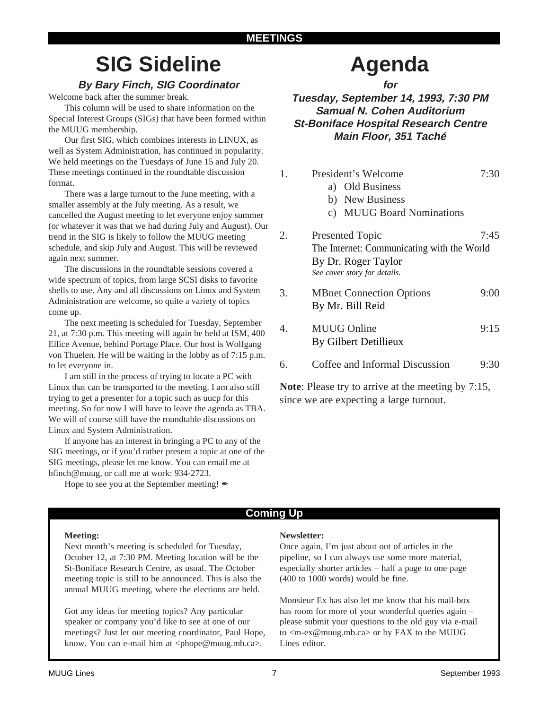# **SIG Sideline**

# **By Bary Finch, SIG Coordinator**

Welcome back after the summer break.

This column will be used to share information on the Special Interest Groups (SIGs) that have been formed within the MUUG membership.

Our first SIG, which combines interests in LINUX, as well as System Administration, has continued in popularity. We held meetings on the Tuesdays of June 15 and July 20. These meetings continued in the roundtable discussion format.

There was a large turnout to the June meeting, with a smaller assembly at the July meeting. As a result, we cancelled the August meeting to let everyone enjoy summer (or whatever it was that we had during July and August). Our trend in the SIG is likely to follow the MUUG meeting schedule, and skip July and August. This will be reviewed again next summer.

The discussions in the roundtable sessions covered a wide spectrum of topics, from large SCSI disks to favorite shells to use. Any and all discussions on Linux and System Administration are welcome, so quite a variety of topics come up.

The next meeting is scheduled for Tuesday, September 21, at 7:30 p.m. This meeting will again be held at ISM, 400 Ellice Avenue, behind Portage Place. Our host is Wolfgang von Thuelen. He will be waiting in the lobby as of 7:15 p.m. to let everyone in.

I am still in the process of trying to locate a PC with Linux that can be transported to the meeting. I am also still trying to get a presenter for a topic such as uucp for this meeting. So for now I will have to leave the agenda as TBA. We will of course still have the roundtable discussions on Linux and System Administration.

If anyone has an interest in bringing a PC to any of the SIG meetings, or if you'd rather present a topic at one of the SIG meetings, please let me know. You can email me at bfinch@muug, or call me at work: 934-2723.

Hope to see you at the September meeting!  $\mathscr{I}$ 

# **Agenda**

**for Tuesday, September 14, 1993, 7:30 PM**

**Samual N. Cohen Auditorium St-Boniface Hospital Research Centre Main Floor, 351 Taché**

1. President's Welcome 7:30

a) Old Business b) New Business

|    | c) MUUG Board Nominations                                                                                                   |      |
|----|-----------------------------------------------------------------------------------------------------------------------------|------|
| 2. | <b>Presented Topic</b><br>The Internet: Communicating with the World<br>By Dr. Roger Taylor<br>See cover story for details. | 7:45 |
| 3. | <b>MBnet Connection Options</b><br>By Mr. Bill Reid                                                                         | 9:00 |
|    | <b>MUUG Online</b><br>By Gilbert Detillieux                                                                                 | 9:15 |
| 6. | Coffee and Informal Discussion                                                                                              | ५∙⊰। |

**Note**: Please try to arrive at the meeting by 7:15, since we are expecting a large turnout.

## **Coming Up**

#### **Meeting:**

Next month's meeting is scheduled for Tuesday, October 12, at 7:30 PM. Meeting location will be the St-Boniface Research Centre, as usual. The October meeting topic is still to be announced. This is also the annual MUUG meeting, where the elections are held.

Got any ideas for meeting topics? Any particular speaker or company you'd like to see at one of our meetings? Just let our meeting coordinator, Paul Hope, know. You can e-mail him at <phope@muug.mb.ca>.

### **Newsletter:**

Once again, I'm just about out of articles in the pipeline, so I can always use some more material, especially shorter articles – half a page to one page (400 to 1000 words) would be fine.

Monsieur Ex has also let me know that his mail-box has room for more of your wonderful queries again – please submit your questions to the old guy via e-mail to <m-ex@muug.mb.ca> or by FAX to the MUUG Lines editor.